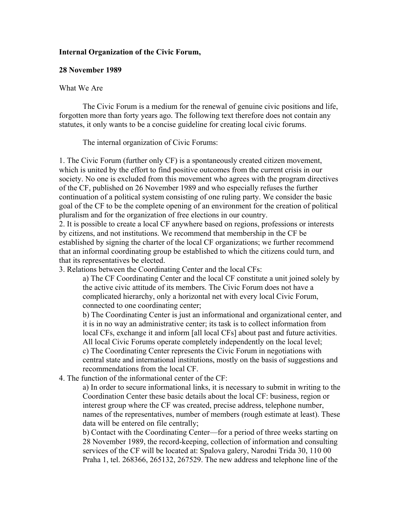## **Internal Organization of the Civic Forum,**

## **28 November 1989**

## What We Are

 The Civic Forum is a medium for the renewal of genuine civic positions and life, forgotten more than forty years ago. The following text therefore does not contain any statutes, it only wants to be a concise guideline for creating local civic forums.

The internal organization of Civic Forums:

1. The Civic Forum (further only CF) is a spontaneously created citizen movement, which is united by the effort to find positive outcomes from the current crisis in our society. No one is excluded from this movement who agrees with the program directives of the CF, published on 26 November 1989 and who especially refuses the further continuation of a political system consisting of one ruling party. We consider the basic goal of the CF to be the complete opening of an environment for the creation of political pluralism and for the organization of free elections in our country.

2. It is possible to create a local CF anywhere based on regions, professions or interests by citizens, and not institutions. We recommend that membership in the CF be established by signing the charter of the local CF organizations; we further recommend that an informal coordinating group be established to which the citizens could turn, and that its representatives be elected.

3. Relations between the Coordinating Center and the local CFs:

a) The CF Coordinating Center and the local CF constitute a unit joined solely by the active civic attitude of its members. The Civic Forum does not have a complicated hierarchy, only a horizontal net with every local Civic Forum, connected to one coordinating center;

b) The Coordinating Center is just an informational and organizational center, and it is in no way an administrative center; its task is to collect information from local CFs, exchange it and inform [all local CFs] about past and future activities. All local Civic Forums operate completely independently on the local level; c) The Coordinating Center represents the Civic Forum in negotiations with central state and international institutions, mostly on the basis of suggestions and recommendations from the local CF.

4. The function of the informational center of the CF:

a) In order to secure informational links, it is necessary to submit in writing to the Coordination Center these basic details about the local CF: business, region or interest group where the CF was created, precise address, telephone number, names of the representatives, number of members (rough estimate at least). These data will be entered on file centrally;

b) Contact with the Coordinating Center—for a period of three weeks starting on 28 November 1989, the record-keeping, collection of information and consulting services of the CF will be located at: Spalova galery, Narodni Trida 30, 110 00 Praha 1, tel. 268366, 265132, 267529. The new address and telephone line of the